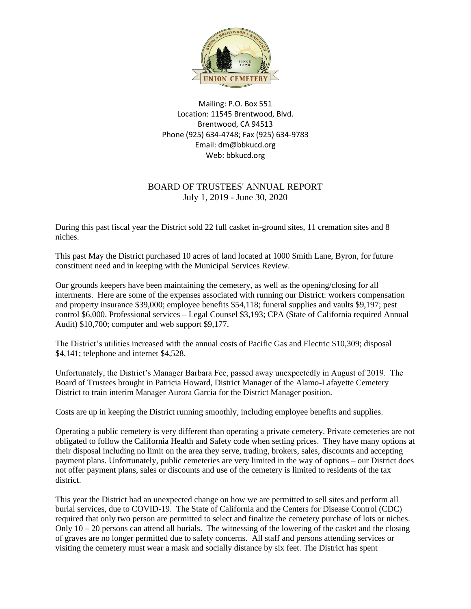

Mailing: P.O. Box 551 Location: 11545 Brentwood, Blvd. Brentwood, CA 94513 Phone (925) 634-4748; Fax (925) 634-9783 Email: dm@bbkucd.org Web: bbkucd.org

## BOARD OF TRUSTEES' ANNUAL REPORT July 1, 2019 - June 30, 2020

During this past fiscal year the District sold 22 full casket in-ground sites, 11 cremation sites and 8 niches.

This past May the District purchased 10 acres of land located at 1000 Smith Lane, Byron, for future constituent need and in keeping with the Municipal Services Review.

Our grounds keepers have been maintaining the cemetery, as well as the opening/closing for all interments. Here are some of the expenses associated with running our District: workers compensation and property insurance \$39,000; employee benefits \$54,118; funeral supplies and vaults \$9,197; pest control \$6,000. Professional services – Legal Counsel \$3,193; CPA (State of California required Annual Audit) \$10,700; computer and web support \$9,177.

The District's utilities increased with the annual costs of Pacific Gas and Electric \$10,309; disposal \$4,141; telephone and internet \$4,528.

Unfortunately, the District's Manager Barbara Fee, passed away unexpectedly in August of 2019. The Board of Trustees brought in Patricia Howard, District Manager of the Alamo-Lafayette Cemetery District to train interim Manager Aurora Garcia for the District Manager position.

Costs are up in keeping the District running smoothly, including employee benefits and supplies.

Operating a public cemetery is very different than operating a private cemetery. Private cemeteries are not obligated to follow the California Health and Safety code when setting prices. They have many options at their disposal including no limit on the area they serve, trading, brokers, sales, discounts and accepting payment plans. Unfortunately, public cemeteries are very limited in the way of options – our District does not offer payment plans, sales or discounts and use of the cemetery is limited to residents of the tax district.

This year the District had an unexpected change on how we are permitted to sell sites and perform all burial services, due to COVID-19. The State of California and the Centers for Disease Control (CDC) required that only two person are permitted to select and finalize the cemetery purchase of lots or niches. Only  $10 - 20$  persons can attend all burials. The witnessing of the lowering of the casket and the closing of graves are no longer permitted due to safety concerns. All staff and persons attending services or visiting the cemetery must wear a mask and socially distance by six feet. The District has spent